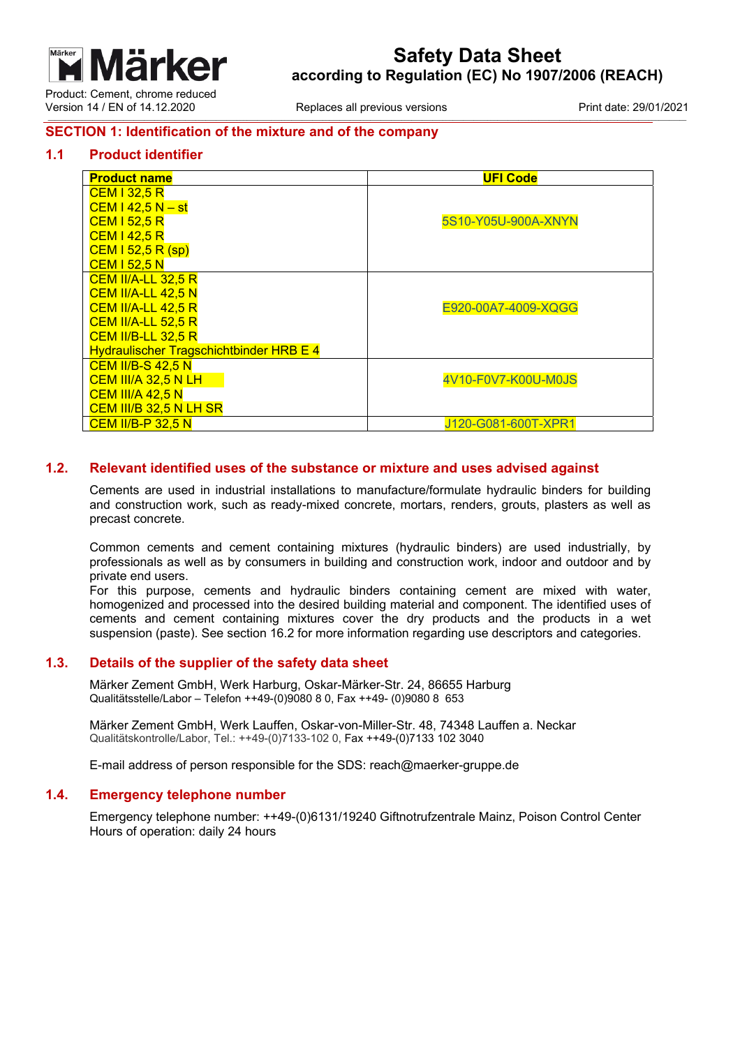

Replaces all previous versions The Contract Contract Print date: 29/01/2021

## **SECTION 1: Identification of the mixture and of the company**

## **1.1 Product identifier**

| <b>Product name</b>                            | <b>UFI Code</b>     |
|------------------------------------------------|---------------------|
| <b>CEM 132,5 R</b>                             |                     |
| $CEM142,5 N - st$                              |                     |
| <b>CEM 152,5 R</b>                             | 5S10-Y05U-900A-XNYN |
| <b>CEM 142,5 R</b>                             |                     |
| CEM $152,5R$ (sp)                              |                     |
| <b>CEM I 52,5 N</b>                            |                     |
| <b>CEM II/A-LL 32,5 R</b>                      |                     |
| <b>CEM II/A-LL 42,5 N</b>                      |                     |
| <b>CEM II/A-LL 42,5 R</b>                      | E920-00A7-4009-XQGG |
| <b>CEM II/A-LL 52,5 R</b>                      |                     |
| <b>CEM II/B-LL 32,5 R</b>                      |                     |
| <b>Hydraulischer Tragschichtbinder HRB E 4</b> |                     |
| <b>CEM II/B-S 42,5 N</b>                       |                     |
| <b>CEM III/A 32,5 N LH</b>                     | 4V10-F0V7-K00U-M0JS |
| <b>CEM III/A 42,5 N</b>                        |                     |
| <b>CEM III/B 32,5 N LH SR</b>                  |                     |
| <b>CEM II/B-P 32,5 N</b>                       | J120-G081-600T-XPR1 |

## **1.2. Relevant identified uses of the substance or mixture and uses advised against**

Cements are used in industrial installations to manufacture/formulate hydraulic binders for building and construction work, such as ready-mixed concrete, mortars, renders, grouts, plasters as well as precast concrete.

Common cements and cement containing mixtures (hydraulic binders) are used industrially, by professionals as well as by consumers in building and construction work, indoor and outdoor and by private end users.

For this purpose, cements and hydraulic binders containing cement are mixed with water, homogenized and processed into the desired building material and component. The identified uses of cements and cement containing mixtures cover the dry products and the products in a wet suspension (paste). See section 16.2 for more information regarding use descriptors and categories.

## **1.3. Details of the supplier of the safety data sheet**

Märker Zement GmbH, Werk Harburg, Oskar-Märker-Str. 24, 86655 Harburg Qualitätsstelle/Labor – Telefon ++49-(0)9080 8 0, Fax ++49- (0)9080 8 653

Märker Zement GmbH, Werk Lauffen, Oskar-von-Miller-Str. 48, 74348 Lauffen a. Neckar Qualitätskontrolle/Labor, Tel.: ++49-(0)7133-102 0, Fax ++49-(0)7133 102 3040

E-mail address of person responsible for the SDS: reach@maerker-gruppe.de

## **1.4. Emergency telephone number**

Emergency telephone number: ++49-(0)6131/19240 Giftnotrufzentrale Mainz, Poison Control Center Hours of operation: daily 24 hours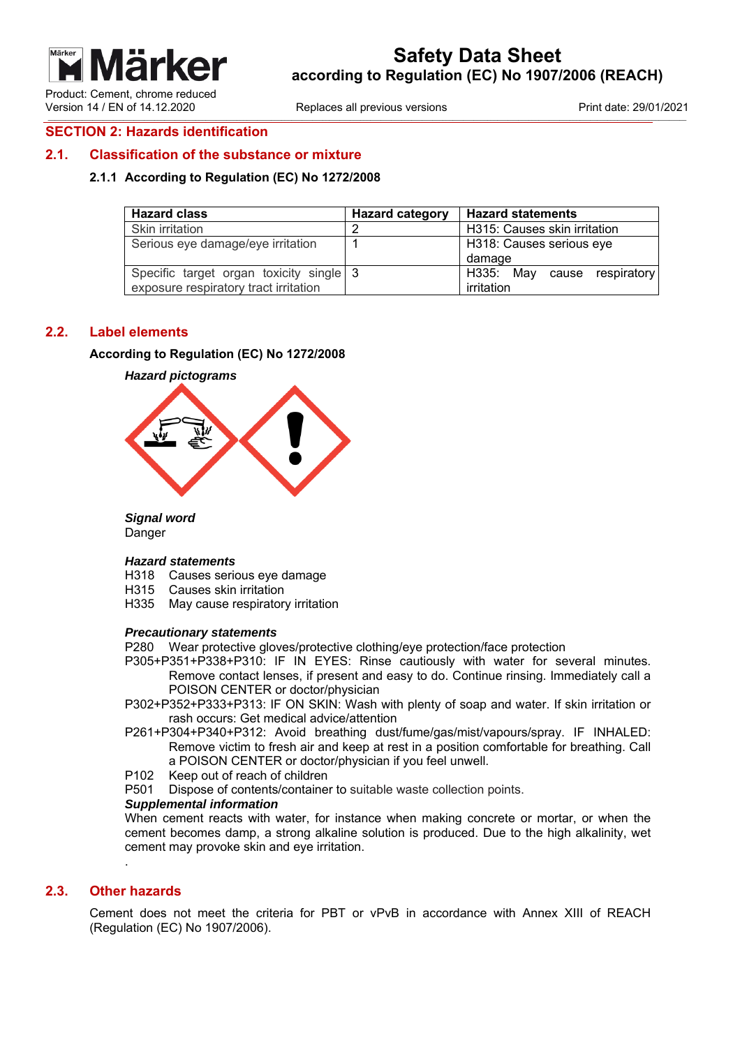

# **Safety Data Sheet according to Regulation (EC) No 1907/2006 (REACH)**

Replaces all previous versions The Contract Contract Print date: 29/01/2021

## **SECTION 2: Hazards identification**

## **2.1. Classification of the substance or mixture**

## **2.1.1 According to Regulation (EC) No 1272/2008**

| <b>Hazard class</b>                     | <b>Hazard category</b> | <b>Hazard statements</b>     |
|-----------------------------------------|------------------------|------------------------------|
| Skin irritation                         |                        | H315: Causes skin irritation |
| Serious eye damage/eye irritation       |                        | H318: Causes serious eye     |
|                                         |                        | damage                       |
| Specific target organ toxicity single 3 |                        | H335: May cause respiratory  |
| exposure respiratory tract irritation   |                        | irritation                   |

## **2.2. Label elements**

## **According to Regulation (EC) No 1272/2008**



## *Signal word*

Danger

#### *Hazard statements*

- H318 Causes serious eye damage
- H315 Causes skin irritation
- H335 May cause respiratory irritation

#### *Precautionary statements*

P280 Wear protective gloves/protective clothing/eye protection/face protection

- P305+P351+P338+P310: IF IN EYES: Rinse cautiously with water for several minutes. Remove contact lenses, if present and easy to do. Continue rinsing. Immediately call a POISON CENTER or doctor/physician
- P302+P352+P333+P313: IF ON SKIN: Wash with plenty of soap and water. If skin irritation or rash occurs: Get medical advice/attention
- P261+P304+P340+P312: Avoid breathing dust/fume/gas/mist/vapours/spray. IF INHALED: Remove victim to fresh air and keep at rest in a position comfortable for breathing. Call a POISON CENTER or doctor/physician if you feel unwell.
- P102 Keep out of reach of children
- P501 Dispose of contents/container to suitable waste collection points.

#### *Supplemental information*

When cement reacts with water, for instance when making concrete or mortar, or when the cement becomes damp, a strong alkaline solution is produced. Due to the high alkalinity, wet cement may provoke skin and eye irritation.

## **2.3. Other hazards**

.

Cement does not meet the criteria for PBT or vPvB in accordance with Annex XIII of REACH (Regulation (EC) No 1907/2006).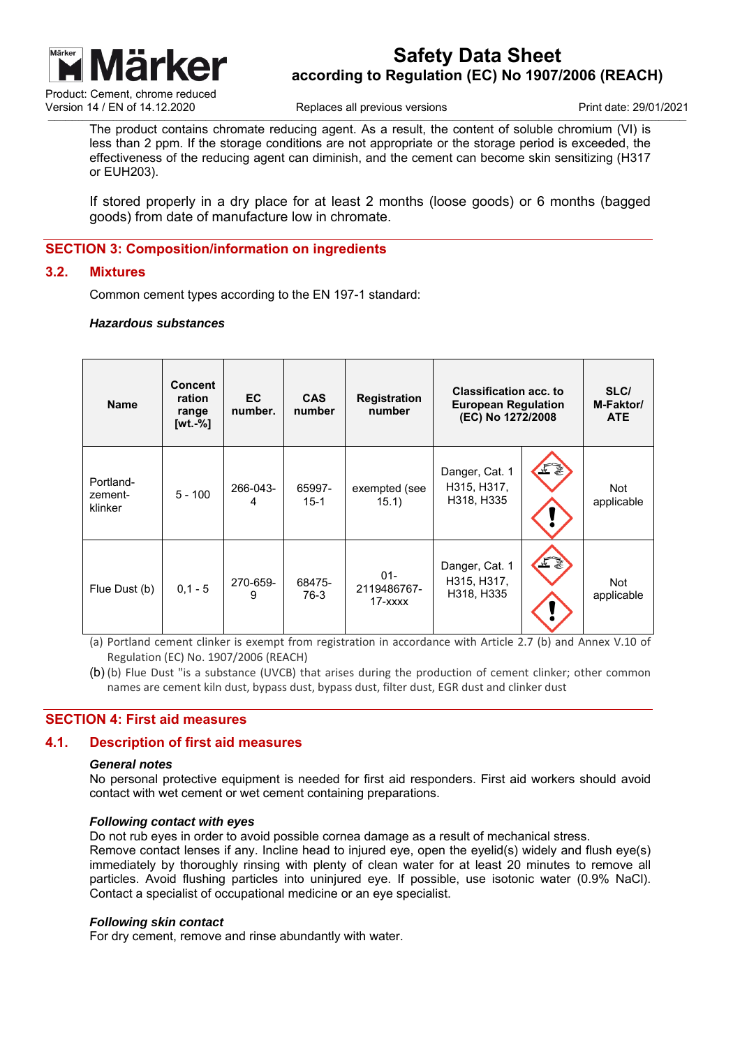

# **Safety Data Sheet according to Regulation (EC) No 1907/2006 (REACH)**

Replaces all previous versions The Material Separation of Print date: 29/01/2021

The product contains chromate reducing agent. As a result, the content of soluble chromium (VI) is less than 2 ppm. If the storage conditions are not appropriate or the storage period is exceeded, the effectiveness of the reducing agent can diminish, and the cement can become skin sensitizing (H317 or EUH203).

If stored properly in a dry place for at least 2 months (loose goods) or 6 months (bagged goods) from date of manufacture low in chromate.

## **SECTION 3: Composition/information on ingredients**

## **3.2. Mixtures**

Common cement types according to the EN 197-1 standard:

#### *Hazardous substances*

| <b>Name</b>                     | <b>Concent</b><br>ration<br>range<br>[wt.- $%$ ] | EC.<br>number. | <b>CAS</b><br>number | <b>Registration</b><br>number          | <b>Classification acc. to</b><br><b>European Regulation</b><br>(EC) No 1272/2008 |   | SLC/<br><b>M-Faktor/</b><br><b>ATE</b> |
|---------------------------------|--------------------------------------------------|----------------|----------------------|----------------------------------------|----------------------------------------------------------------------------------|---|----------------------------------------|
| Portland-<br>zement-<br>klinker | $5 - 100$                                        | 266-043-<br>4  | 65997-<br>$15 - 1$   | exempted (see<br>15.1)                 | Danger, Cat. 1<br>H315, H317,<br>H318, H335                                      |   | Not<br>applicable                      |
| Flue Dust (b)                   | $0,1 - 5$                                        | 270-659-<br>9  | 68475-<br>76-3       | $01 -$<br>2119486767-<br>$17 - x$ $xx$ | Danger, Cat. 1<br>H315, H317,<br>H318, H335                                      | w | Not<br>applicable                      |

(a) Portland cement clinker is exempt from registration in accordance with Article 2.7 (b) and Annex V.10 of Regulation (EC) No. 1907/2006 (REACH)

(b) (b) Flue Dust "is a substance (UVCB) that arises during the production of cement clinker; other common names are cement kiln dust, bypass dust, bypass dust, filter dust, EGR dust and clinker dust

## **SECTION 4: First aid measures**

## **4.1. Description of first aid measures**

#### *General notes*

No personal protective equipment is needed for first aid responders. First aid workers should avoid contact with wet cement or wet cement containing preparations.

## *Following contact with eyes*

Do not rub eyes in order to avoid possible cornea damage as a result of mechanical stress. Remove contact lenses if any. Incline head to injured eye, open the eyelid(s) widely and flush eye(s) immediately by thoroughly rinsing with plenty of clean water for at least 20 minutes to remove all particles. Avoid flushing particles into uninjured eye. If possible, use isotonic water (0.9% NaCl). Contact a specialist of occupational medicine or an eye specialist.

## *Following skin contact*

For dry cement, remove and rinse abundantly with water.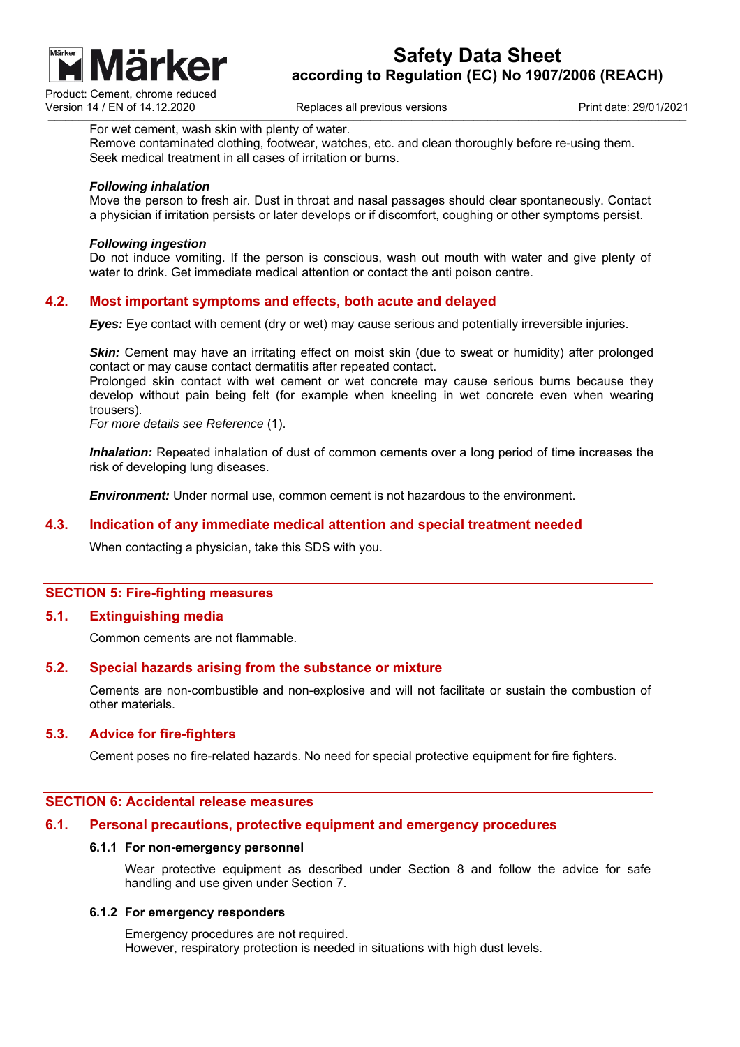

# **Safety Data Sheet according to Regulation (EC) No 1907/2006 (REACH)**

Replaces all previous versions The Contract Contract Print date: 29/01/2021

For wet cement, wash skin with plenty of water.

Remove contaminated clothing, footwear, watches, etc. and clean thoroughly before re-using them. Seek medical treatment in all cases of irritation or burns.

#### *Following inhalation*

Move the person to fresh air. Dust in throat and nasal passages should clear spontaneously. Contact a physician if irritation persists or later develops or if discomfort, coughing or other symptoms persist.

#### *Following ingestion*

Do not induce vomiting. If the person is conscious, wash out mouth with water and give plenty of water to drink. Get immediate medical attention or contact the anti poison centre.

## **4.2. Most important symptoms and effects, both acute and delayed**

*Eyes:* Eye contact with cement (dry or wet) may cause serious and potentially irreversible injuries.

**Skin:** Cement may have an irritating effect on moist skin (due to sweat or humidity) after prolonged contact or may cause contact dermatitis after repeated contact.

Prolonged skin contact with wet cement or wet concrete may cause serious burns because they develop without pain being felt (for example when kneeling in wet concrete even when wearing trousers).

*For more details see Reference* (1).

*Inhalation:* Repeated inhalation of dust of common cements over a long period of time increases the risk of developing lung diseases.

*Environment:* Under normal use, common cement is not hazardous to the environment.

## **4.3. Indication of any immediate medical attention and special treatment needed**

When contacting a physician, take this SDS with you.

## **SECTION 5: Fire-fighting measures**

## **5.1. Extinguishing media**

Common cements are not flammable.

## **5.2. Special hazards arising from the substance or mixture**

Cements are non-combustible and non-explosive and will not facilitate or sustain the combustion of other materials.

## **5.3. Advice for fire-fighters**

Cement poses no fire-related hazards. No need for special protective equipment for fire fighters.

## **SECTION 6: Accidental release measures**

## **6.1. Personal precautions, protective equipment and emergency procedures**

#### **6.1.1 For non-emergency personnel**

Wear protective equipment as described under Section 8 and follow the advice for safe handling and use given under Section 7.

#### **6.1.2 For emergency responders**

Emergency procedures are not required. However, respiratory protection is needed in situations with high dust levels.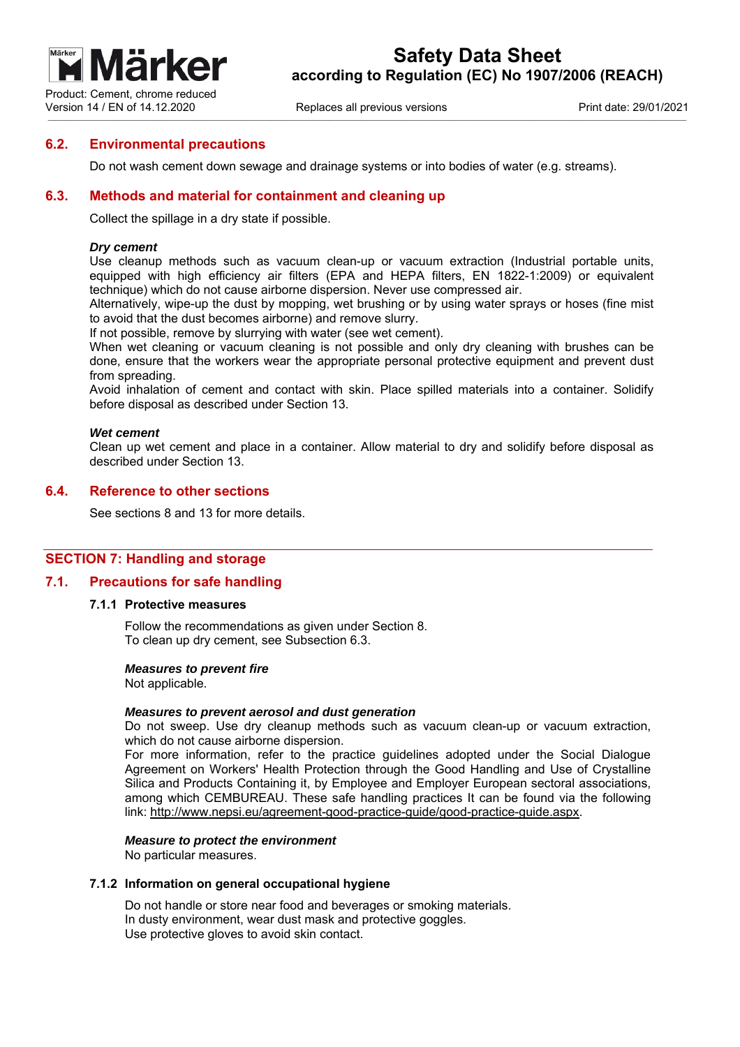ärker

Product: Cement, chrome reduced<br>Version 14 / EN of 14.12.2020

Replaces all previous versions The Contract Contract Print date: 29/01/2021

## **6.2. Environmental precautions**

Do not wash cement down sewage and drainage systems or into bodies of water (e.g. streams).

## **6.3. Methods and material for containment and cleaning up**

Collect the spillage in a dry state if possible.

#### *Dry cement*

Use cleanup methods such as vacuum clean-up or vacuum extraction (Industrial portable units, equipped with high efficiency air filters (EPA and HEPA filters, EN 1822-1:2009) or equivalent technique) which do not cause airborne dispersion. Never use compressed air.

Alternatively, wipe-up the dust by mopping, wet brushing or by using water sprays or hoses (fine mist to avoid that the dust becomes airborne) and remove slurry.

If not possible, remove by slurrying with water (see wet cement).

When wet cleaning or vacuum cleaning is not possible and only dry cleaning with brushes can be done, ensure that the workers wear the appropriate personal protective equipment and prevent dust from spreading.

Avoid inhalation of cement and contact with skin. Place spilled materials into a container. Solidify before disposal as described under Section 13.

#### *Wet cement*

Clean up wet cement and place in a container. Allow material to dry and solidify before disposal as described under Section 13.

## **6.4. Reference to other sections**

See sections 8 and 13 for more details.

## **SECTION 7: Handling and storage**

#### **7.1. Precautions for safe handling**

#### **7.1.1 Protective measures**

Follow the recommendations as given under Section 8. To clean up dry cement, see Subsection 6.3.

#### *Measures to prevent fire*

Not applicable.

#### *Measures to prevent aerosol and dust generation*

Do not sweep. Use dry cleanup methods such as vacuum clean-up or vacuum extraction, which do not cause airborne dispersion.

For more information, refer to the practice guidelines adopted under the Social Dialogue Agreement on Workers' Health Protection through the Good Handling and Use of Crystalline Silica and Products Containing it, by Employee and Employer European sectoral associations, among which CEMBUREAU. These safe handling practices It can be found via the following link: http://www.nepsi.eu/agreement-good-practice-guide/good-practice-guide.aspx.

#### *Measure to protect the environment*

No particular measures.

#### **7.1.2 Information on general occupational hygiene**

Do not handle or store near food and beverages or smoking materials. In dusty environment, wear dust mask and protective goggles. Use protective gloves to avoid skin contact.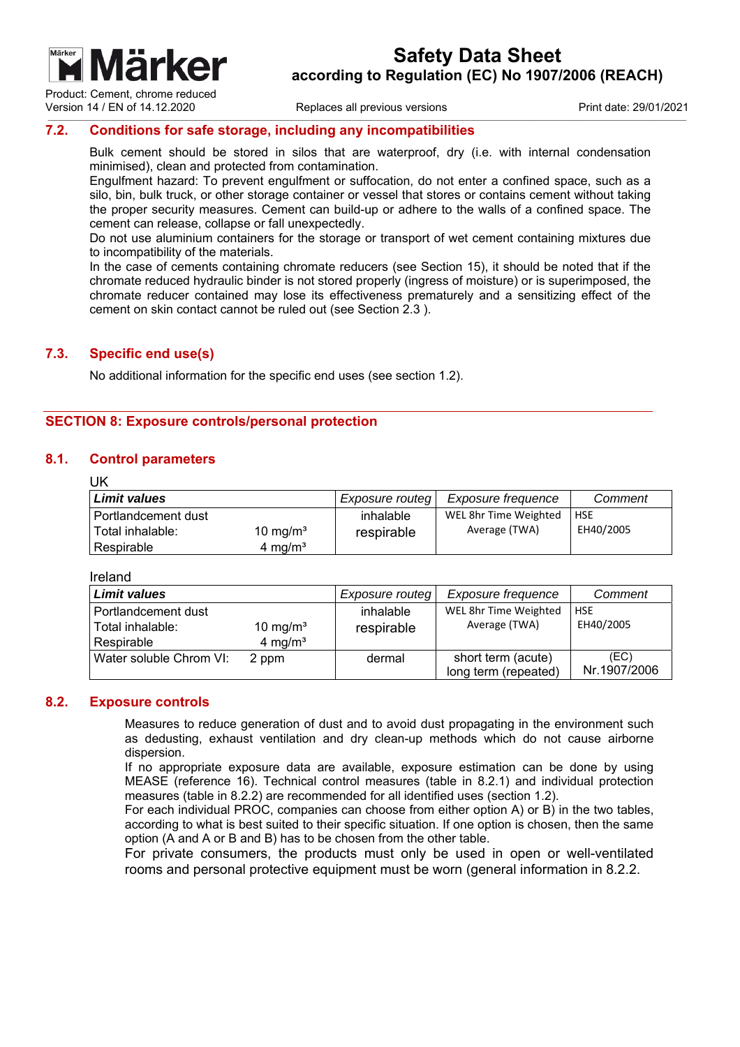

Product: Cement, chrome reduced Version 14 / EN of 14.12.2020 Replaces all previous versions Theorem 29/01/2021

## **7.2. Conditions for safe storage, including any incompatibilities**

Bulk cement should be stored in silos that are waterproof, dry (i.e. with internal condensation minimised), clean and protected from contamination.

Engulfment hazard: To prevent engulfment or suffocation, do not enter a confined space, such as a silo, bin, bulk truck, or other storage container or vessel that stores or contains cement without taking the proper security measures. Cement can build-up or adhere to the walls of a confined space. The cement can release, collapse or fall unexpectedly.

Do not use aluminium containers for the storage or transport of wet cement containing mixtures due to incompatibility of the materials.

In the case of cements containing chromate reducers (see Section 15), it should be noted that if the chromate reduced hydraulic binder is not stored properly (ingress of moisture) or is superimposed, the chromate reducer contained may lose its effectiveness prematurely and a sensitizing effect of the cement on skin contact cannot be ruled out (see Section 2.3 ).

## **7.3. Specific end use(s)**

No additional information for the specific end uses (see section 1.2).

## **SECTION 8: Exposure controls/personal protection**

### **8.1. Control parameters**

| UK                    |                      |                 |                       |            |
|-----------------------|----------------------|-----------------|-----------------------|------------|
| <b>Limit values</b>   |                      | Exposure routeg | Exposure frequence    | Comment    |
| l Portlandcement dust |                      | inhalable       | WEL 8hr Time Weighted | <b>HSE</b> |
| Total inhalable:      | 10 mg/m <sup>3</sup> | respirable      | Average (TWA)         | EH40/2005  |
| Respirable            | 4 mg/ $m3$           |                 |                       |            |

Ireland

UK

| <b>Limit values</b>     |                      | Exposure routeg | Exposure frequence                         | Comment              |
|-------------------------|----------------------|-----------------|--------------------------------------------|----------------------|
| Portlandcement dust     |                      | inhalable       | WEL 8hr Time Weighted                      | <b>HSE</b>           |
| Total inhalable:        | 10 mg/m <sup>3</sup> | respirable      | Average (TWA)                              | EH40/2005            |
| Respirable              | 4 mg/ $m3$           |                 |                                            |                      |
| Water soluble Chrom VI: | 2 ppm                | dermal          | short term (acute)<br>long term (repeated) | (EC)<br>Nr.1907/2006 |

## **8.2. Exposure controls**

Measures to reduce generation of dust and to avoid dust propagating in the environment such as dedusting, exhaust ventilation and dry clean-up methods which do not cause airborne dispersion.

If no appropriate exposure data are available, exposure estimation can be done by using MEASE (reference 16). Technical control measures (table in 8.2.1) and individual protection measures (table in 8.2.2) are recommended for all identified uses (section 1.2).

For each individual PROC, companies can choose from either option A) or B) in the two tables, according to what is best suited to their specific situation. If one option is chosen, then the same option (A and A or B and B) has to be chosen from the other table.

For private consumers, the products must only be used in open or well-ventilated rooms and personal protective equipment must be worn (general information in 8.2.2.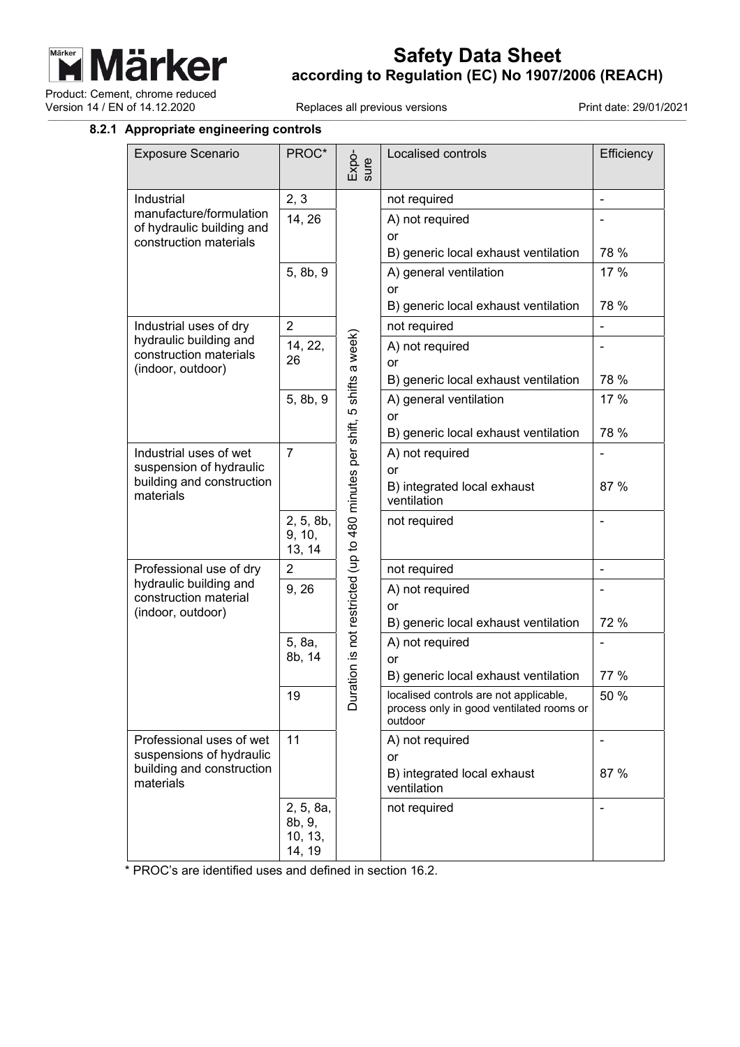

Product: Cement, chrome reduced<br>Version 14 / EN of 14.12.2020

Replaces all previous versions The Contract Print date: 29/01/2021

## **8.2.1 Appropriate engineering controls**

| <b>Exposure Scenario</b>                                                       | PROC*                                    | Expo-<br>sure                                         | Localised controls                                                                            | Efficiency |
|--------------------------------------------------------------------------------|------------------------------------------|-------------------------------------------------------|-----------------------------------------------------------------------------------------------|------------|
| Industrial                                                                     | 2, 3                                     |                                                       | not required                                                                                  |            |
| manufacture/formulation<br>of hydraulic building and<br>construction materials | 14, 26                                   |                                                       | A) not required<br>or                                                                         |            |
|                                                                                |                                          |                                                       | B) generic local exhaust ventilation                                                          | 78 %       |
|                                                                                | 5, 8b, 9                                 |                                                       | A) general ventilation                                                                        | 17 %       |
|                                                                                |                                          |                                                       | or<br>B) generic local exhaust ventilation                                                    | 78 %       |
| Industrial uses of dry                                                         | $\overline{2}$                           |                                                       | not required                                                                                  |            |
| hydraulic building and<br>construction materials                               | 14, 22,<br>26                            | shifts a week)                                        | A) not required<br>or                                                                         |            |
| (indoor, outdoor)                                                              |                                          |                                                       | B) generic local exhaust ventilation                                                          | 78 %       |
|                                                                                | 5, 8b, 9                                 | LO                                                    | A) general ventilation<br>or                                                                  | 17 %       |
|                                                                                |                                          |                                                       | B) generic local exhaust ventilation                                                          | 78 %       |
| Industrial uses of wet<br>suspension of hydraulic                              | $\overline{7}$                           |                                                       | A) not required<br>or                                                                         |            |
| building and construction<br>materials                                         |                                          |                                                       | B) integrated local exhaust<br>ventilation                                                    | 87 %       |
|                                                                                | 2, 5, 8b,<br>9, 10,<br>13, 14            | ation is not restricted (up to 480 minutes per shift, | not required                                                                                  |            |
| Professional use of dry                                                        | $\overline{2}$                           |                                                       | not required                                                                                  |            |
| hydraulic building and<br>construction material                                | 9, 26                                    |                                                       | A) not required<br>or                                                                         |            |
| (indoor, outdoor)                                                              |                                          |                                                       | B) generic local exhaust ventilation                                                          | 72 %       |
|                                                                                | 5, 8a,<br>8b, 14                         |                                                       | A) not required<br>or                                                                         |            |
|                                                                                |                                          |                                                       | B) generic local exhaust ventilation                                                          | 77 %       |
|                                                                                | 19                                       | ā                                                     | localised controls are not applicable,<br>process only in good ventilated rooms or<br>outdoor | 50 %       |
| Professional uses of wet                                                       | 11                                       |                                                       | A) not required                                                                               |            |
| suspensions of hydraulic<br>building and construction<br>materials             |                                          |                                                       | or<br>B) integrated local exhaust<br>ventilation                                              | 87 %       |
|                                                                                | 2, 5, 8a,<br>8b, 9,<br>10, 13,<br>14, 19 |                                                       | not required                                                                                  |            |

\* PROC's are identified uses and defined in section 16.2.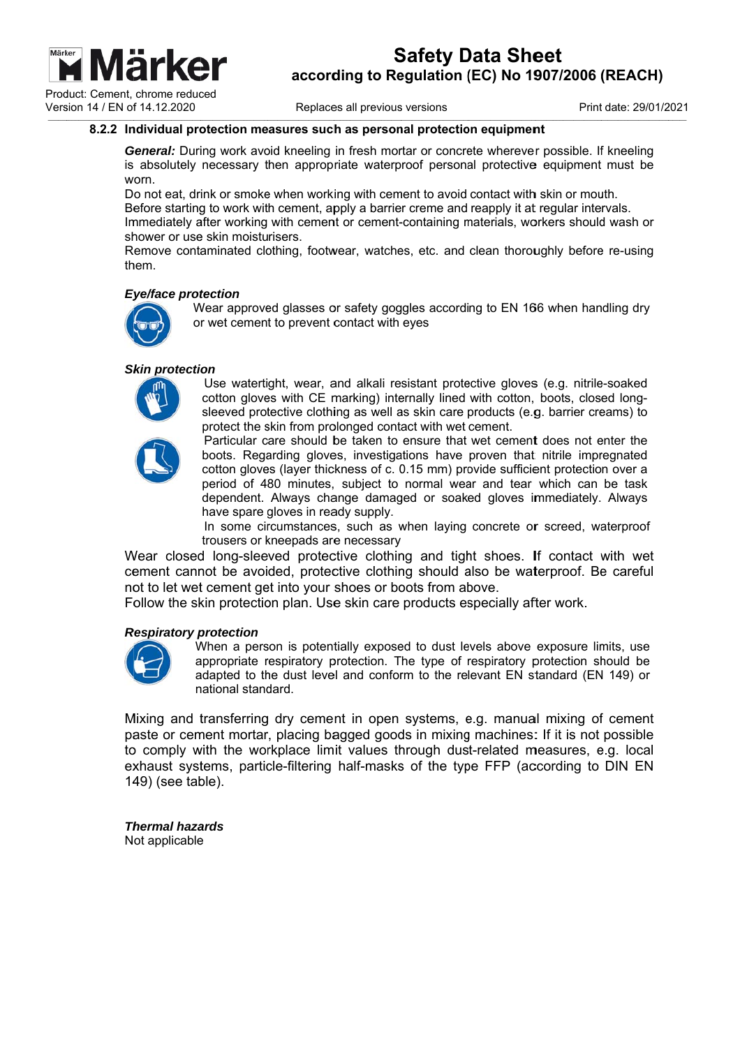

Product: Cement, chrome reduced Vers sion 14 / EN of f 14.12.2020

Replaces all previous versions

Print date: 29/01/2021

## 8.2.2 Individual protection measures such as personal protection equipment

General: During work avoid kneeling in fresh mortar or concrete wherever possible. If kneeling is absolutely necessary then appropriate waterproof personal protective equipment must be w worn.

Do not eat, drink or smoke when working with cement to avoid contact with skin or mouth. Before starting to work with cement, apply a barrier creme and reapply it at regular intervals.

Immediately after working with cement or cement-containing materials, workers should wash or shower or use skin moisturisers.

Remove contaminated clothing, footwear, watches, etc. and clean thoroughly before re-using th hem.

#### *Eye/face protection*



Wear approved glasses or safety goggles according to EN 166 when handling dry or wet cement to prevent contact with eyes

## **Skin protection**



Use watertight, wear, and alkali resistant protective gloves (e.g. nitrile-soaked cotton gloves with CE marking) internally lined with cotton, boots, closed longsleeved protective clothing as well as skin care products (e.g. barrier creams) to protect the skin from prolonged contact with wet cement.



Particular care should be taken to ensure that wet cement does not enter the boots. Regarding gloves, investigations have proven that nitrile impregnated cotton gloves (layer thickness of c. 0.15 mm) provide sufficient protection over a period of 4 80 minutes, subject to normal wea ar and tear which can be task dependent. Always change damaged or soaked gloves immediately. Always have spare gloves in ready supply. accord<br>
Replaces<br>
cord<br>
ced Replaces<br>
cording work avoid kneeling in<br>
mecessary then appropri<br>
rink or smoke when working<br>
do work with cement, appropriated coloning with cement<br>
e skin moisturisers.<br>
taminated clothing, f

In some circumstances, such as when laying concrete or screed, waterproof trousers or kneepads are necessary

Wear closed long-sleeved protective clothing and tight shoes. If contact with wet cement cannot be avoided, protective clothing should also be waterproof. Be careful not to let wet cement get into your shoes or boots from above.

Follow the skin protection plan. Use skin care products especially after work.

#### *R Respiratory p protection*



When a person is potentially exposed to dust levels above exposure limits, use appropriate respiratory protection. The type of respiratory protection should be adapted to the dust level and conform to the relevant EN standard (EN 149) or n national stand dard.

Mixing and transferring dry cement in open systems, e.g. manual mixing of cement paste or cement mortar, placing bagged goods in mixing machines: If it is not possible to comply with the workplace limit values through dust-related measures, e.g. local exhaust systems, particle-filtering half-masks of the type FFP (according to DIN EN 14 49) (see tab ble).

*Thermal hazards* N ot applicable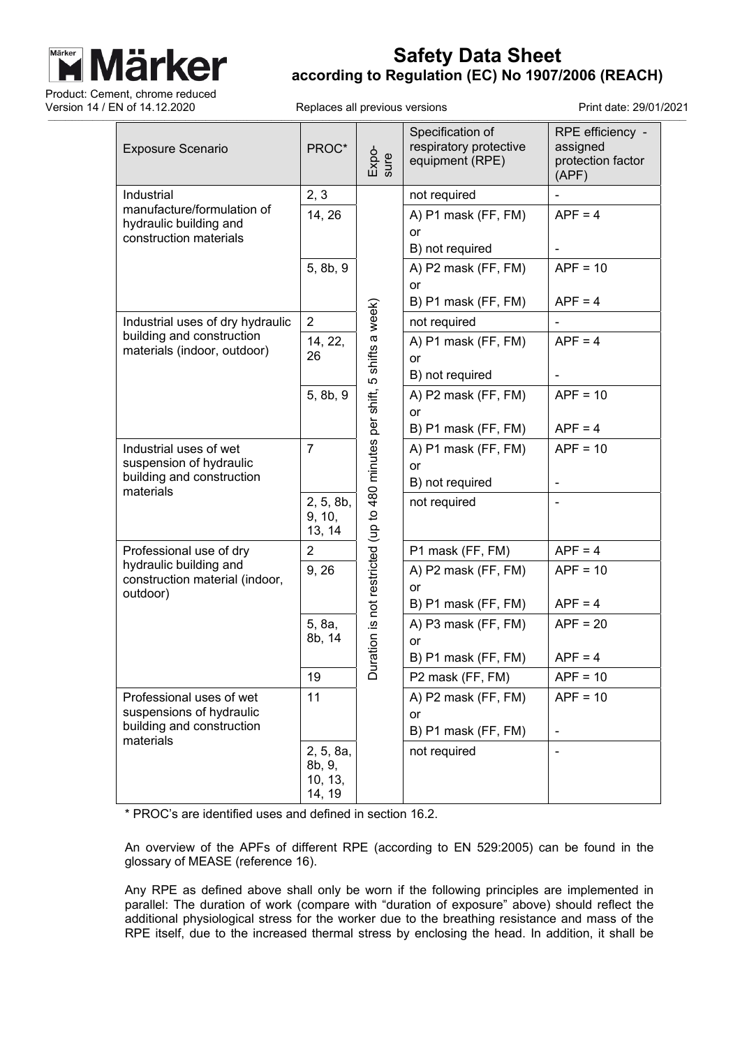

# **Safety Data Sheet according to Regulation (EC) No 1907/2006 (REACH)**

Replaces all previous versions The Contract of Print date: 29/01/2021

| <b>Exposure Scenario</b>                                 | PROC*             | Expo-<br>sure                                            | Specification of<br>respiratory protective<br>equipment (RPE) | RPE efficiency -<br>assigned<br>protection factor<br>(APF) |
|----------------------------------------------------------|-------------------|----------------------------------------------------------|---------------------------------------------------------------|------------------------------------------------------------|
| Industrial                                               | 2, 3              |                                                          | not required                                                  |                                                            |
| manufacture/formulation of<br>hydraulic building and     | 14, 26            |                                                          | A) P1 mask (FF, FM)                                           | $APF = 4$                                                  |
| construction materials                                   |                   |                                                          | or                                                            |                                                            |
|                                                          |                   |                                                          | B) not required                                               |                                                            |
|                                                          | 5, 8b, 9          |                                                          | A) P2 mask (FF, FM)<br><b>or</b>                              | $APF = 10$                                                 |
|                                                          |                   |                                                          | B) P1 mask (FF, FM)                                           | $APF = 4$                                                  |
| Industrial uses of dry hydraulic                         | $\overline{2}$    | 5 shifts a week)                                         | not required                                                  |                                                            |
| building and construction<br>materials (indoor, outdoor) | 14, 22,           |                                                          | A) P1 mask (FF, FM)                                           | $APF = 4$                                                  |
|                                                          | 26                |                                                          | or                                                            |                                                            |
|                                                          |                   |                                                          | B) not required                                               |                                                            |
|                                                          | 5, 8b, 9          |                                                          | A) P2 mask (FF, FM)                                           | $APF = 10$                                                 |
|                                                          |                   |                                                          | or<br>B) P1 mask (FF, FM)                                     | $APF = 4$                                                  |
| Industrial uses of wet                                   | $\overline{7}$    |                                                          | A) P1 mask (FF, FM)                                           | $APF = 10$                                                 |
| suspension of hydraulic                                  |                   |                                                          | or                                                            |                                                            |
| building and construction<br>materials                   |                   |                                                          | B) not required                                               |                                                            |
|                                                          | 2, 5, 8b,         |                                                          | not required                                                  |                                                            |
|                                                          | 9, 10,<br>13, 14  |                                                          |                                                               |                                                            |
| Professional use of dry                                  | 2                 | Juration is not restricted (up to 480 minutes per shift, | P1 mask (FF, FM)                                              | $APF = 4$                                                  |
| hydraulic building and                                   | 9, 26             |                                                          | A) P2 mask (FF, FM)                                           | $APF = 10$                                                 |
| construction material (indoor,<br>outdoor)               |                   |                                                          | or                                                            |                                                            |
|                                                          |                   |                                                          | B) P1 mask (FF, FM)                                           | $APF = 4$                                                  |
|                                                          | 5, 8a,<br>8b, 14  |                                                          | A) P3 mask (FF, FM)                                           | $APF = 20$                                                 |
|                                                          |                   |                                                          | or<br>B) P1 mask (FF, FM)                                     | $APF = 4$                                                  |
|                                                          | 19                | ہ                                                        | P2 mask (FF, FM)                                              | $APF = 10$                                                 |
| Professional uses of wet                                 | 11                |                                                          | A) P2 mask (FF, FM)                                           | $APF = 10$                                                 |
| suspensions of hydraulic                                 |                   |                                                          | or                                                            |                                                            |
| building and construction<br>materials                   |                   |                                                          | B) P1 mask (FF, FM)                                           | $\qquad \qquad \blacksquare$                               |
|                                                          | 2, 5, 8a,         |                                                          | not required                                                  | $\overline{\phantom{0}}$                                   |
|                                                          | 8b, 9,<br>10, 13, |                                                          |                                                               |                                                            |
|                                                          | 14, 19            |                                                          |                                                               |                                                            |

\* PROC's are identified uses and defined in section 16.2.

An overview of the APFs of different RPE (according to EN 529:2005) can be found in the glossary of MEASE (reference 16).

Any RPE as defined above shall only be worn if the following principles are implemented in parallel: The duration of work (compare with "duration of exposure" above) should reflect the additional physiological stress for the worker due to the breathing resistance and mass of the RPE itself, due to the increased thermal stress by enclosing the head. In addition, it shall be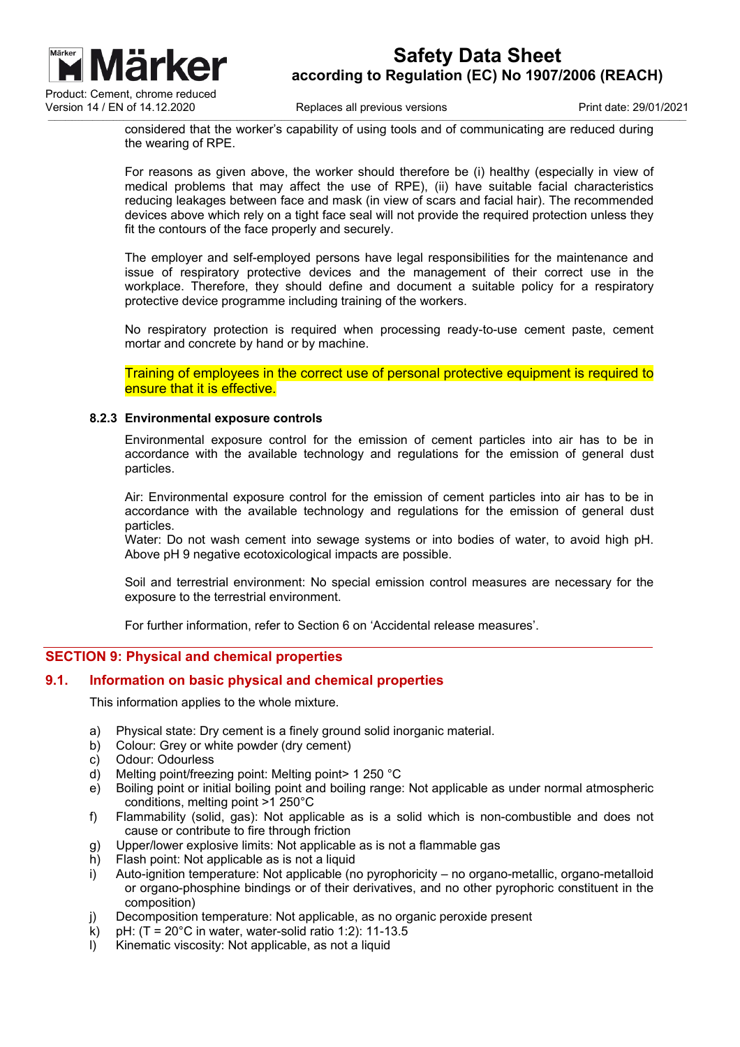

# **Safety Data Sheet according to Regulation (EC) No 1907/2006 (REACH)**

Replaces all previous versions The Contract Contract Print date: 29/01/2021

considered that the worker's capability of using tools and of communicating are reduced during the wearing of RPE.

For reasons as given above, the worker should therefore be (i) healthy (especially in view of medical problems that may affect the use of RPE), (ii) have suitable facial characteristics reducing leakages between face and mask (in view of scars and facial hair). The recommended devices above which rely on a tight face seal will not provide the required protection unless they fit the contours of the face properly and securely.

The employer and self-employed persons have legal responsibilities for the maintenance and issue of respiratory protective devices and the management of their correct use in the workplace. Therefore, they should define and document a suitable policy for a respiratory protective device programme including training of the workers.

No respiratory protection is required when processing ready-to-use cement paste, cement mortar and concrete by hand or by machine.

Training of employees in the correct use of personal protective equipment is required to ensure that it is effective.

## **8.2.3 Environmental exposure controls**

Environmental exposure control for the emission of cement particles into air has to be in accordance with the available technology and regulations for the emission of general dust particles.

Air: Environmental exposure control for the emission of cement particles into air has to be in accordance with the available technology and regulations for the emission of general dust particles.

Water: Do not wash cement into sewage systems or into bodies of water, to avoid high pH. Above pH 9 negative ecotoxicological impacts are possible.

Soil and terrestrial environment: No special emission control measures are necessary for the exposure to the terrestrial environment.

For further information, refer to Section 6 on 'Accidental release measures'.

## **SECTION 9: Physical and chemical properties**

## **9.1. Information on basic physical and chemical properties**

This information applies to the whole mixture.

- a) Physical state: Dry cement is a finely ground solid inorganic material.
- b) Colour: Grey or white powder (dry cement)<br>c) Odour: Odourless
- Odour: Odourless
- d) Melting point/freezing point: Melting point> 1 250 °C
- e) Boiling point or initial boiling point and boiling range: Not applicable as under normal atmospheric conditions, melting point >1 250°C
- f) Flammability (solid, gas): Not applicable as is a solid which is non-combustible and does not cause or contribute to fire through friction
- g) Upper/lower explosive limits: Not applicable as is not a flammable gas
- h) Flash point: Not applicable as is not a liquid
- i) Auto-ignition temperature: Not applicable (no pyrophoricity no organo-metallic, organo-metalloid or organo-phosphine bindings or of their derivatives, and no other pyrophoric constituent in the composition)
- j) Decomposition temperature: Not applicable, as no organic peroxide present
- k) pH:  $(T = 20^{\circ}$ C in water, water-solid ratio 1:2): 11-13.5
- l) Kinematic viscosity: Not applicable, as not a liquid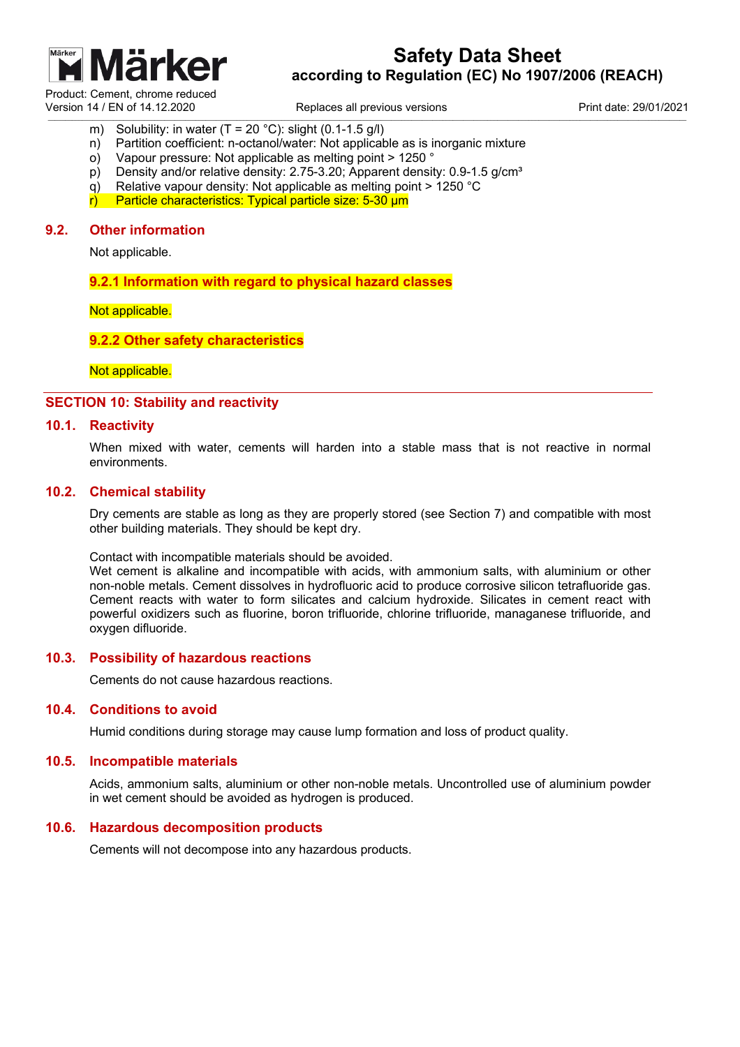

# **Safety Data Sheet according to Regulation (EC) No 1907/2006 (REACH)**

Replaces all previous versions The Contract Contract Print date: 29/01/2021

- m) Solubility: in water  $(T = 20 °C)$ : slight  $(0.1 1.5 g/l)$
- n) Partition coefficient: n-octanol/water: Not applicable as is inorganic mixture
- o) Vapour pressure: Not applicable as melting point > 1250 °
- p) Density and/or relative density: 2.75-3.20; Apparent density: 0.9-1.5 g/cm<sup>3</sup>
- q) Relative vapour density: Not applicable as melting point > 1250 °C
- r) Particle characteristics: Typical particle size: 5-30 µm

## **9.2. Other information**

Not applicable.

**9.2.1 Information with regard to physical hazard classes** 

Not applicable.

## **9.2.2 Other safety characteristics**

Not applicable.

## **SECTION 10: Stability and reactivity**

#### **10.1. Reactivity**

When mixed with water, cements will harden into a stable mass that is not reactive in normal environments.

## **10.2. Chemical stability**

Dry cements are stable as long as they are properly stored (see Section 7) and compatible with most other building materials. They should be kept dry.

Contact with incompatible materials should be avoided.

Wet cement is alkaline and incompatible with acids, with ammonium salts, with aluminium or other non-noble metals. Cement dissolves in hydrofluoric acid to produce corrosive silicon tetrafluoride gas. Cement reacts with water to form silicates and calcium hydroxide. Silicates in cement react with powerful oxidizers such as fluorine, boron trifluoride, chlorine trifluoride, managanese trifluoride, and oxygen difluoride.

## **10.3. Possibility of hazardous reactions**

Cements do not cause hazardous reactions.

## **10.4. Conditions to avoid**

Humid conditions during storage may cause lump formation and loss of product quality.

## **10.5. Incompatible materials**

Acids, ammonium salts, aluminium or other non-noble metals. Uncontrolled use of aluminium powder in wet cement should be avoided as hydrogen is produced.

## **10.6. Hazardous decomposition products**

Cements will not decompose into any hazardous products.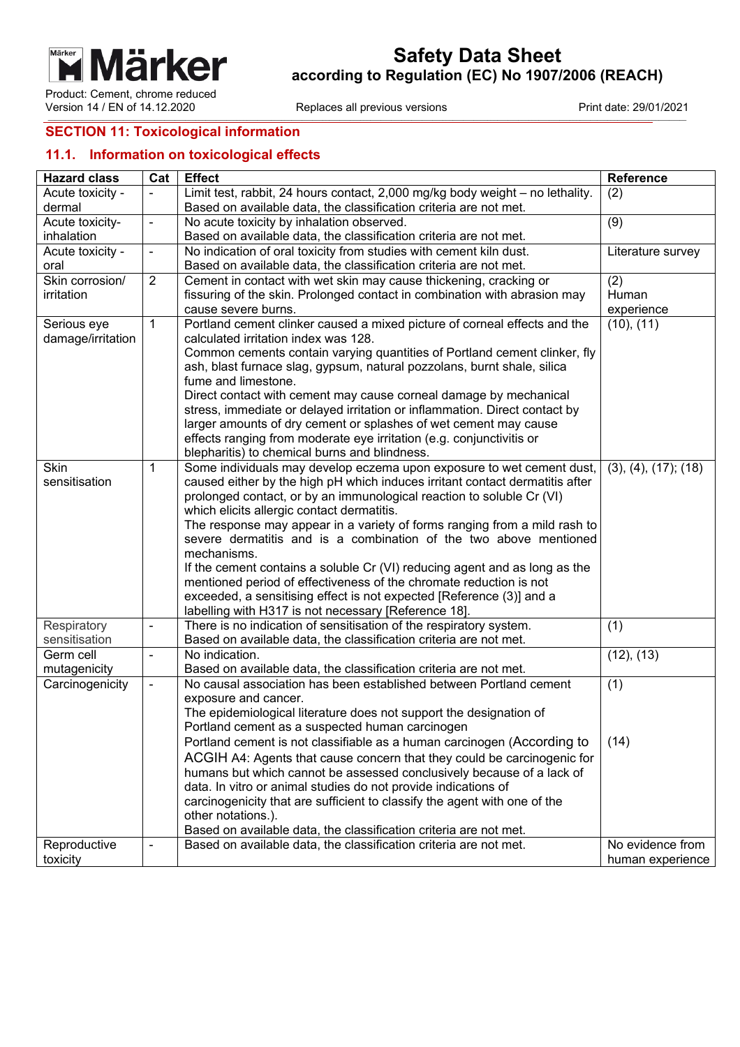

# **Safety Data Sheet according to Regulation (EC) No 1907/2006 (REACH)**

Replaces all previous versions The Contract Print date: 29/01/2021

# **SECTION 11: Toxicological information**

## **11.1. Information on toxicological effects**

| <b>Hazard class</b> | Cat                      | <b>Effect</b>                                                                                                                                        | Reference            |
|---------------------|--------------------------|------------------------------------------------------------------------------------------------------------------------------------------------------|----------------------|
| Acute toxicity -    | ä,                       | Limit test, rabbit, 24 hours contact, 2,000 mg/kg body weight - no lethality.                                                                        | (2)                  |
| dermal              |                          | Based on available data, the classification criteria are not met.                                                                                    |                      |
| Acute toxicity-     | $\overline{\phantom{a}}$ | No acute toxicity by inhalation observed.                                                                                                            | (9)                  |
| inhalation          |                          | Based on available data, the classification criteria are not met.                                                                                    |                      |
| Acute toxicity -    | $\blacksquare$           | No indication of oral toxicity from studies with cement kiln dust.                                                                                   | Literature survey    |
| oral                |                          | Based on available data, the classification criteria are not met.                                                                                    |                      |
| Skin corrosion/     | $\overline{2}$           | Cement in contact with wet skin may cause thickening, cracking or                                                                                    | (2)                  |
| irritation          |                          | fissuring of the skin. Prolonged contact in combination with abrasion may                                                                            | Human                |
|                     |                          | cause severe burns.                                                                                                                                  | experience           |
| Serious eye         | $\mathbf{1}$             | Portland cement clinker caused a mixed picture of corneal effects and the<br>calculated irritation index was 128.                                    | (10), (11)           |
| damage/irritation   |                          |                                                                                                                                                      |                      |
|                     |                          | Common cements contain varying quantities of Portland cement clinker, fly<br>ash, blast furnace slag, gypsum, natural pozzolans, burnt shale, silica |                      |
|                     |                          | fume and limestone.                                                                                                                                  |                      |
|                     |                          | Direct contact with cement may cause corneal damage by mechanical                                                                                    |                      |
|                     |                          | stress, immediate or delayed irritation or inflammation. Direct contact by                                                                           |                      |
|                     |                          | larger amounts of dry cement or splashes of wet cement may cause                                                                                     |                      |
|                     |                          | effects ranging from moderate eye irritation (e.g. conjunctivitis or                                                                                 |                      |
|                     |                          | blepharitis) to chemical burns and blindness.                                                                                                        |                      |
| <b>Skin</b>         | 1                        | Some individuals may develop eczema upon exposure to wet cement dust,                                                                                | (3), (4), (17); (18) |
| sensitisation       |                          | caused either by the high pH which induces irritant contact dermatitis after                                                                         |                      |
|                     |                          | prolonged contact, or by an immunological reaction to soluble Cr (VI)                                                                                |                      |
|                     |                          | which elicits allergic contact dermatitis.                                                                                                           |                      |
|                     |                          | The response may appear in a variety of forms ranging from a mild rash to                                                                            |                      |
|                     |                          | severe dermatitis and is a combination of the two above mentioned                                                                                    |                      |
|                     |                          | mechanisms.                                                                                                                                          |                      |
|                     |                          | If the cement contains a soluble Cr (VI) reducing agent and as long as the                                                                           |                      |
|                     |                          | mentioned period of effectiveness of the chromate reduction is not                                                                                   |                      |
|                     |                          | exceeded, a sensitising effect is not expected [Reference (3)] and a                                                                                 |                      |
|                     |                          | labelling with H317 is not necessary [Reference 18].                                                                                                 |                      |
| Respiratory         | $\blacksquare$           | There is no indication of sensitisation of the respiratory system.                                                                                   | (1)                  |
| sensitisation       |                          | Based on available data, the classification criteria are not met.                                                                                    |                      |
| Germ cell           | $\blacksquare$           | No indication.                                                                                                                                       | (12), (13)           |
| mutagenicity        |                          | Based on available data, the classification criteria are not met.                                                                                    |                      |
| Carcinogenicity     | $\overline{\phantom{a}}$ | No causal association has been established between Portland cement                                                                                   | (1)                  |
|                     |                          | exposure and cancer.                                                                                                                                 |                      |
|                     |                          | The epidemiological literature does not support the designation of                                                                                   |                      |
|                     |                          | Portland cement as a suspected human carcinogen                                                                                                      | (14)                 |
|                     |                          | Portland cement is not classifiable as a human carcinogen (According to                                                                              |                      |
|                     |                          | ACGIH A4: Agents that cause concern that they could be carcinogenic for<br>humans but which cannot be assessed conclusively because of a lack of     |                      |
|                     |                          | data. In vitro or animal studies do not provide indications of                                                                                       |                      |
|                     |                          | carcinogenicity that are sufficient to classify the agent with one of the                                                                            |                      |
|                     |                          | other notations.).                                                                                                                                   |                      |
|                     |                          | Based on available data, the classification criteria are not met.                                                                                    |                      |
| Reproductive        |                          | Based on available data, the classification criteria are not met.                                                                                    | No evidence from     |
| toxicity            |                          |                                                                                                                                                      | human experience     |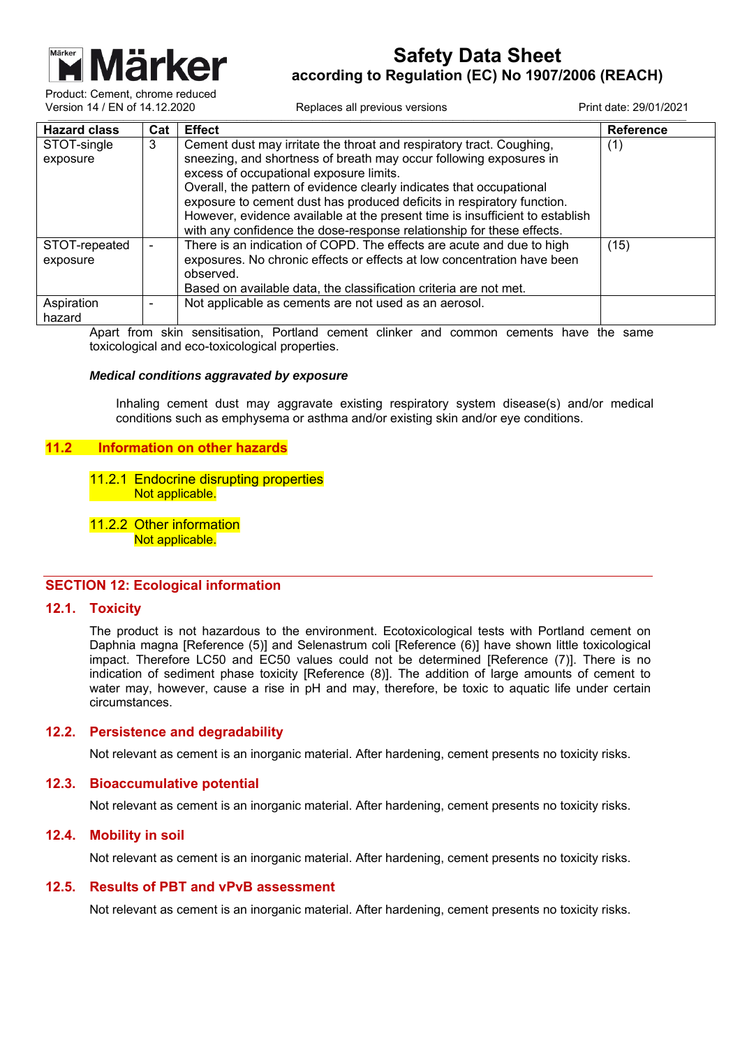

Product: Cement, chrome reduced Version 14 / EN of 14.12.2020 Replaces all previous versions Theory of the Print date: 29/01/2021

| <b>Hazard class</b> | Cat | <b>Effect</b>                                                                | <b>Reference</b> |
|---------------------|-----|------------------------------------------------------------------------------|------------------|
| STOT-single         | 3   | Cement dust may irritate the throat and respiratory tract. Coughing,         | (1)              |
| exposure            |     | sneezing, and shortness of breath may occur following exposures in           |                  |
|                     |     | excess of occupational exposure limits.                                      |                  |
|                     |     | Overall, the pattern of evidence clearly indicates that occupational         |                  |
|                     |     | exposure to cement dust has produced deficits in respiratory function.       |                  |
|                     |     | However, evidence available at the present time is insufficient to establish |                  |
|                     |     | with any confidence the dose-response relationship for these effects.        |                  |
| STOT-repeated       |     | There is an indication of COPD. The effects are acute and due to high        | (15)             |
| exposure            |     | exposures. No chronic effects or effects at low concentration have been      |                  |
|                     |     | observed.                                                                    |                  |
|                     |     | Based on available data, the classification criteria are not met.            |                  |
| Aspiration          |     | Not applicable as cements are not used as an aerosol.                        |                  |
| hazard              |     |                                                                              |                  |

Apart from skin sensitisation, Portland cement clinker and common cements have the same toxicological and eco-toxicological properties.

#### *Medical conditions aggravated by exposure*

Inhaling cement dust may aggravate existing respiratory system disease(s) and/or medical conditions such as emphysema or asthma and/or existing skin and/or eye conditions.

## **11.2 Information on other hazards**

11.2.1 Endocrine disrupting properties **Not applicable.** 

11.2.2 Other information Not applicable.

## **SECTION 12: Ecological information**

## **12.1. Toxicity**

The product is not hazardous to the environment. Ecotoxicological tests with Portland cement on Daphnia magna [Reference (5)] and Selenastrum coli [Reference (6)] have shown little toxicological impact. Therefore LC50 and EC50 values could not be determined [Reference (7)]. There is no indication of sediment phase toxicity [Reference (8)]. The addition of large amounts of cement to water may, however, cause a rise in pH and may, therefore, be toxic to aquatic life under certain circumstances.

## **12.2. Persistence and degradability**

Not relevant as cement is an inorganic material. After hardening, cement presents no toxicity risks.

## **12.3. Bioaccumulative potential**

Not relevant as cement is an inorganic material. After hardening, cement presents no toxicity risks.

## **12.4. Mobility in soil**

Not relevant as cement is an inorganic material. After hardening, cement presents no toxicity risks.

## **12.5. Results of PBT and vPvB assessment**

Not relevant as cement is an inorganic material. After hardening, cement presents no toxicity risks.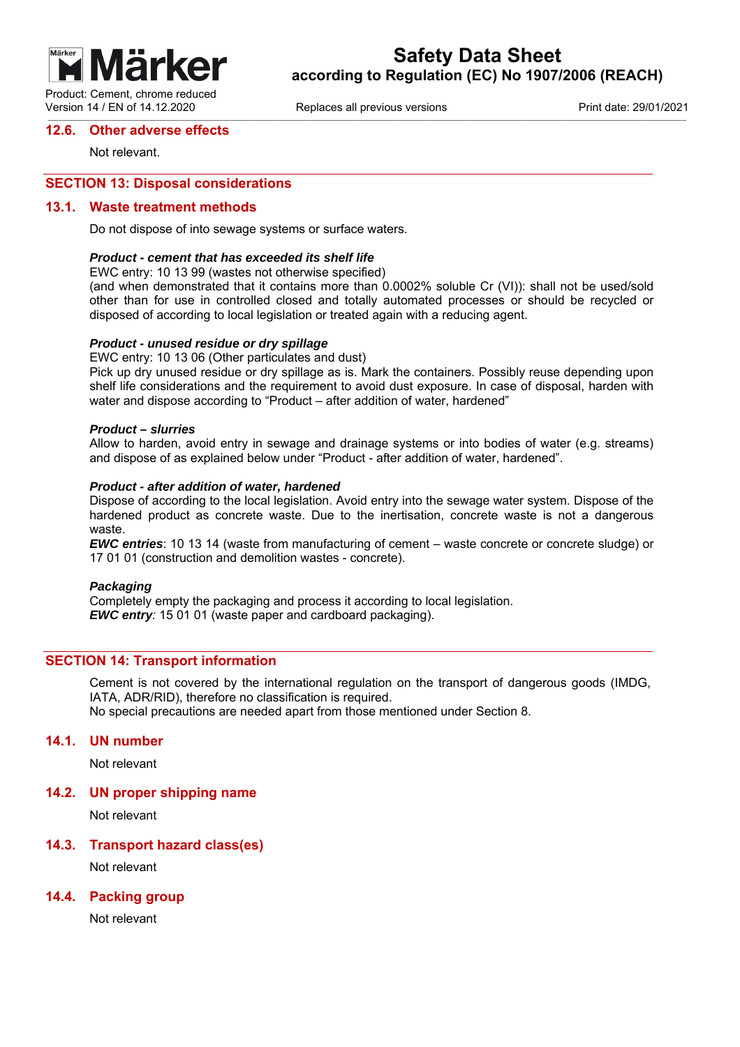

# **Safety Data Sheet according to Regulation (EC) No 1907/2006 (REACH)**

Replaces all previous versions The Contract Contract Print date: 29/01/2021

### **12.6. Other adverse effects**

Not relevant.

## **SECTION 13: Disposal considerations**

#### **13.1. Waste treatment methods**

Do not dispose of into sewage systems or surface waters.

## *Product - cement that has exceeded its shelf life*

EWC entry: 10 13 99 (wastes not otherwise specified)

(and when demonstrated that it contains more than 0.0002% soluble Cr (VI)): shall not be used/sold other than for use in controlled closed and totally automated processes or should be recycled or disposed of according to local legislation or treated again with a reducing agent.

#### *Product - unused residue or dry spillage*

EWC entry: 10 13 06 (Other particulates and dust)

Pick up dry unused residue or dry spillage as is. Mark the containers. Possibly reuse depending upon shelf life considerations and the requirement to avoid dust exposure. In case of disposal, harden with water and dispose according to "Product – after addition of water, hardened"

#### *Product – slurries*

Allow to harden, avoid entry in sewage and drainage systems or into bodies of water (e.g. streams) and dispose of as explained below under "Product - after addition of water, hardened".

#### *Product - after addition of water, hardened*

Dispose of according to the local legislation. Avoid entry into the sewage water system. Dispose of the hardened product as concrete waste. Due to the inertisation, concrete waste is not a dangerous waste.

*EWC entries*: 10 13 14 (waste from manufacturing of cement – waste concrete or concrete sludge) or 17 01 01 (construction and demolition wastes - concrete).

#### *Packaging*

Completely empty the packaging and process it according to local legislation. *EWC entry:* 15 01 01 (waste paper and cardboard packaging).

### **SECTION 14: Transport information**

Cement is not covered by the international regulation on the transport of dangerous goods (IMDG, IATA, ADR/RID), therefore no classification is required.

No special precautions are needed apart from those mentioned under Section 8.

## **14.1. UN number**

Not relevant

#### **14.2. UN proper shipping name**

Not relevant

#### **14.3. Transport hazard class(es)**

Not relevant

#### **14.4. Packing group**

Not relevant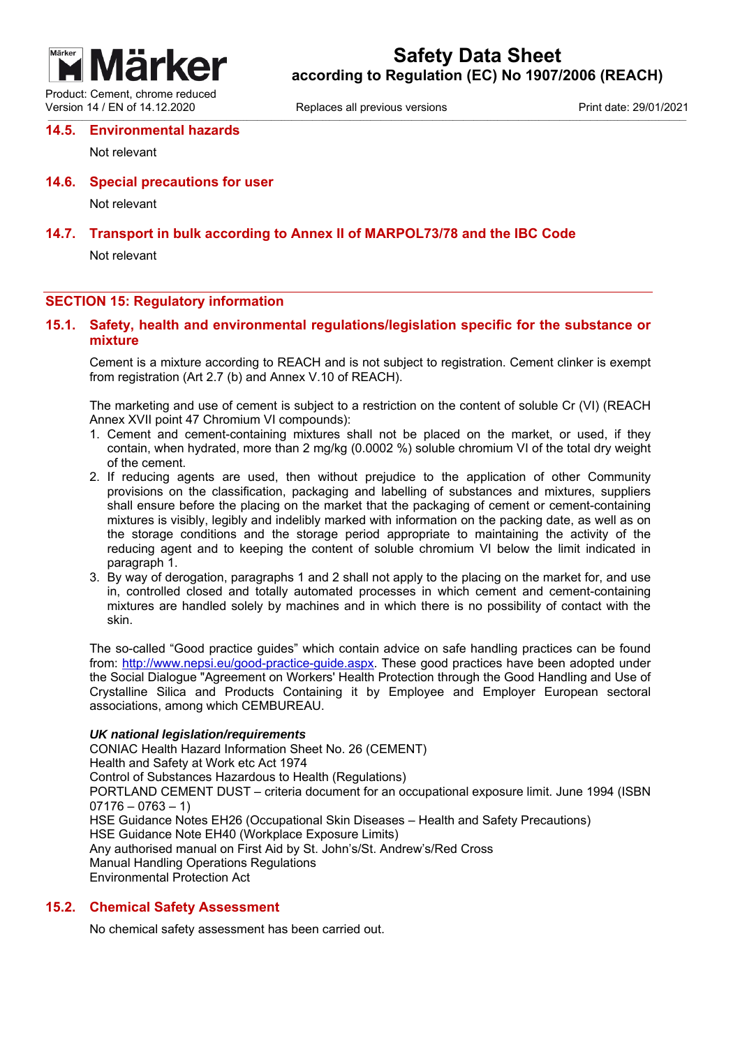

# **Safety Data Sheet according to Regulation (EC) No 1907/2006 (REACH)**

Replaces all previous versions The Contract Contract Print date: 29/01/2021

#### **14.5. Environmental hazards**

Not relevant

## **14.6. Special precautions for user**

Not relevant

## **14.7. Transport in bulk according to Annex II of MARPOL73/78 and the IBC Code**

Not relevant

## **SECTION 15: Regulatory information**

## **15.1. Safety, health and environmental regulations/legislation specific for the substance or mixture**

Cement is a mixture according to REACH and is not subject to registration. Cement clinker is exempt from registration (Art 2.7 (b) and Annex V.10 of REACH).

The marketing and use of cement is subject to a restriction on the content of soluble Cr (VI) (REACH Annex XVII point 47 Chromium VI compounds):

- 1. Cement and cement-containing mixtures shall not be placed on the market, or used, if they contain, when hydrated, more than 2 mg/kg (0.0002 %) soluble chromium VI of the total dry weight of the cement.
- 2. If reducing agents are used, then without prejudice to the application of other Community provisions on the classification, packaging and labelling of substances and mixtures, suppliers shall ensure before the placing on the market that the packaging of cement or cement-containing mixtures is visibly, legibly and indelibly marked with information on the packing date, as well as on the storage conditions and the storage period appropriate to maintaining the activity of the reducing agent and to keeping the content of soluble chromium VI below the limit indicated in paragraph 1.
- 3. By way of derogation, paragraphs 1 and 2 shall not apply to the placing on the market for, and use in, controlled closed and totally automated processes in which cement and cement-containing mixtures are handled solely by machines and in which there is no possibility of contact with the skin.

The so-called "Good practice guides" which contain advice on safe handling practices can be found from: http://www.nepsi.eu/good-practice-guide.aspx. These good practices have been adopted under the Social Dialogue "Agreement on Workers' Health Protection through the Good Handling and Use of Crystalline Silica and Products Containing it by Employee and Employer European sectoral associations, among which CEMBUREAU.

## *UK national legislation/requirements*

CONIAC Health Hazard Information Sheet No. 26 (CEMENT) Health and Safety at Work etc Act 1974 Control of Substances Hazardous to Health (Regulations) PORTLAND CEMENT DUST – criteria document for an occupational exposure limit. June 1994 (ISBN  $07176 - 0763 - 1$ HSE Guidance Notes EH26 (Occupational Skin Diseases – Health and Safety Precautions) HSE Guidance Note EH40 (Workplace Exposure Limits) Any authorised manual on First Aid by St. John's/St. Andrew's/Red Cross Manual Handling Operations Regulations Environmental Protection Act

## **15.2. Chemical Safety Assessment**

No chemical safety assessment has been carried out.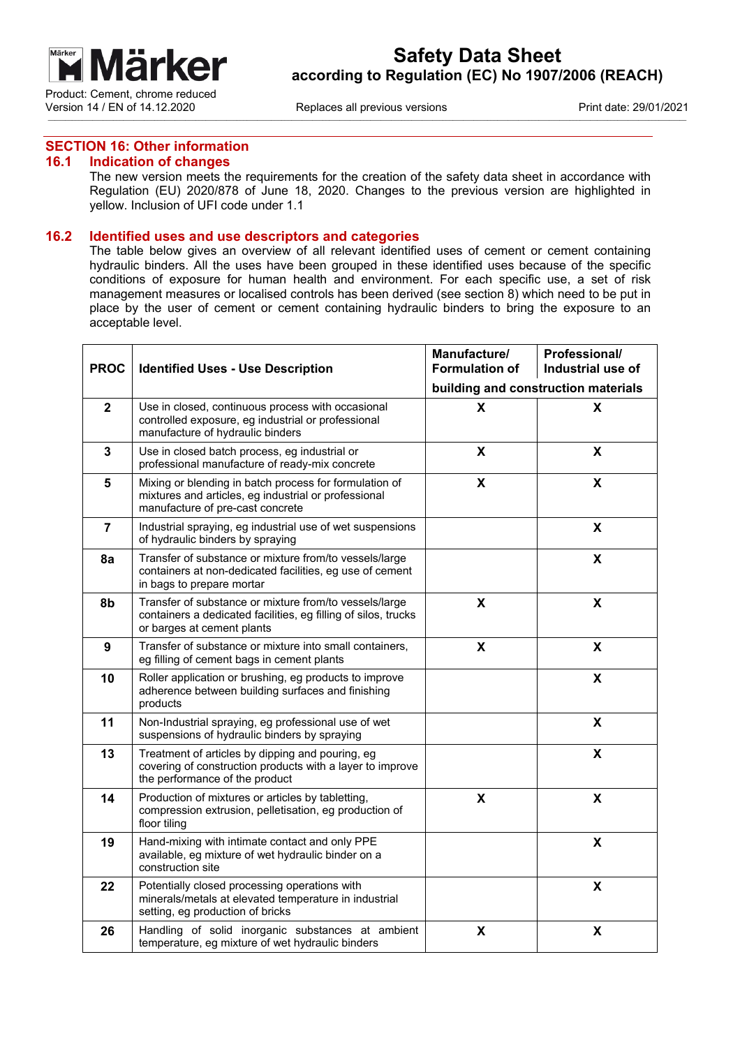

# **Safety Data Sheet according to Regulation (EC) No 1907/2006 (REACH)**

Replaces all previous versions The Contract Contract Print date: 29/01/2021

**SECTION 16: Other information** 

#### **16.1 Indication of changes**

The new version meets the requirements for the creation of the safety data sheet in accordance with Regulation (EU) 2020/878 of June 18, 2020. Changes to the previous version are highlighted in yellow. Inclusion of UFI code under 1.1

## **16.2 Identified uses and use descriptors and categories**

The table below gives an overview of all relevant identified uses of cement or cement containing hydraulic binders. All the uses have been grouped in these identified uses because of the specific conditions of exposure for human health and environment. For each specific use, a set of risk management measures or localised controls has been derived (see section 8) which need to be put in place by the user of cement or cement containing hydraulic binders to bring the exposure to an acceptable level.

| <b>PROC</b>             | <b>Identified Uses - Use Description</b>                                                                                                               | Manufacture/<br><b>Formulation of</b> | Professional/<br>Industrial use of  |
|-------------------------|--------------------------------------------------------------------------------------------------------------------------------------------------------|---------------------------------------|-------------------------------------|
|                         |                                                                                                                                                        |                                       | building and construction materials |
| $\overline{2}$          | Use in closed, continuous process with occasional<br>controlled exposure, eg industrial or professional<br>manufacture of hydraulic binders            | X                                     | X                                   |
| $\mathbf{3}$            | Use in closed batch process, eg industrial or<br>professional manufacture of ready-mix concrete                                                        | $\boldsymbol{\mathsf{X}}$             | $\boldsymbol{\mathsf{X}}$           |
| $\overline{\mathbf{5}}$ | Mixing or blending in batch process for formulation of<br>mixtures and articles, eg industrial or professional<br>manufacture of pre-cast concrete     | X                                     | X                                   |
| $\overline{7}$          | Industrial spraying, eg industrial use of wet suspensions<br>of hydraulic binders by spraying                                                          |                                       | X                                   |
| 8a                      | Transfer of substance or mixture from/to vessels/large<br>containers at non-dedicated facilities, eg use of cement<br>in bags to prepare mortar        |                                       | X                                   |
| 8b                      | Transfer of substance or mixture from/to vessels/large<br>containers a dedicated facilities, eg filling of silos, trucks<br>or barges at cement plants | $\boldsymbol{\mathsf{x}}$             | $\boldsymbol{\mathsf{x}}$           |
| $\boldsymbol{9}$        | Transfer of substance or mixture into small containers,<br>eg filling of cement bags in cement plants                                                  | $\boldsymbol{\mathsf{X}}$             | X                                   |
| 10                      | Roller application or brushing, eg products to improve<br>adherence between building surfaces and finishing<br>products                                |                                       | X                                   |
| 11                      | Non-Industrial spraying, eg professional use of wet<br>suspensions of hydraulic binders by spraying                                                    |                                       | $\boldsymbol{\mathsf{X}}$           |
| 13                      | Treatment of articles by dipping and pouring, eg<br>covering of construction products with a layer to improve<br>the performance of the product        |                                       | $\mathbf x$                         |
| 14                      | Production of mixtures or articles by tabletting,<br>compression extrusion, pelletisation, eg production of<br>floor tiling                            | $\boldsymbol{\mathsf{X}}$             | X                                   |
| 19                      | Hand-mixing with intimate contact and only PPE<br>available, eg mixture of wet hydraulic binder on a<br>construction site                              |                                       | X                                   |
| 22                      | Potentially closed processing operations with<br>minerals/metals at elevated temperature in industrial<br>setting, eg production of bricks             |                                       | $\mathbf x$                         |
| 26                      | Handling of solid inorganic substances at ambient<br>temperature, eg mixture of wet hydraulic binders                                                  | X                                     | X                                   |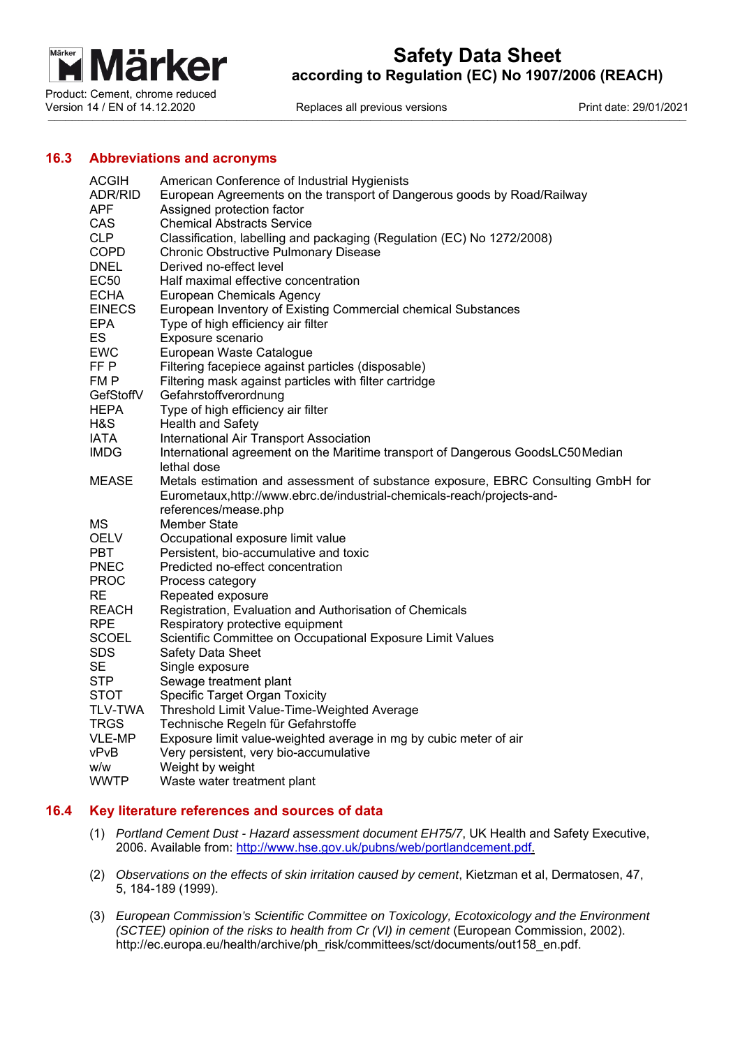

Replaces all previous versions The Contract of Print date: 29/01/2021

## **16.3 Abbreviations and acronyms**

| <b>ACGIH</b>   | American Conference of Industrial Hygienists                                     |
|----------------|----------------------------------------------------------------------------------|
| ADR/RID        | European Agreements on the transport of Dangerous goods by Road/Railway          |
| <b>APF</b>     | Assigned protection factor                                                       |
| <b>CAS</b>     | <b>Chemical Abstracts Service</b>                                                |
| <b>CLP</b>     | Classification, labelling and packaging (Regulation (EC) No 1272/2008)           |
| <b>COPD</b>    | <b>Chronic Obstructive Pulmonary Disease</b>                                     |
| <b>DNEL</b>    | Derived no-effect level                                                          |
| <b>EC50</b>    | Half maximal effective concentration                                             |
| <b>ECHA</b>    | <b>European Chemicals Agency</b>                                                 |
| <b>EINECS</b>  | European Inventory of Existing Commercial chemical Substances                    |
| <b>EPA</b>     | Type of high efficiency air filter                                               |
| ES             | Exposure scenario                                                                |
| <b>EWC</b>     | European Waste Catalogue                                                         |
| FF P           | Filtering facepiece against particles (disposable)                               |
| FM P           | Filtering mask against particles with filter cartridge                           |
| GefStoffV      | Gefahrstoffverordnung                                                            |
| <b>HEPA</b>    | Type of high efficiency air filter                                               |
| H&S            | Health and Safety                                                                |
| <b>IATA</b>    |                                                                                  |
| <b>IMDG</b>    | International Air Transport Association                                          |
|                | International agreement on the Maritime transport of Dangerous GoodsLC50Median   |
|                | lethal dose                                                                      |
| <b>MEASE</b>   | Metals estimation and assessment of substance exposure, EBRC Consulting GmbH for |
|                | Eurometaux, http://www.ebrc.de/industrial-chemicals-reach/projects-and-          |
|                | references/mease.php                                                             |
| <b>MS</b>      | <b>Member State</b>                                                              |
| <b>OELV</b>    | Occupational exposure limit value                                                |
| <b>PBT</b>     | Persistent, bio-accumulative and toxic                                           |
| <b>PNEC</b>    | Predicted no-effect concentration                                                |
| <b>PROC</b>    | Process category                                                                 |
| <b>RE</b>      | Repeated exposure                                                                |
| <b>REACH</b>   | Registration, Evaluation and Authorisation of Chemicals                          |
| <b>RPE</b>     | Respiratory protective equipment                                                 |
| <b>SCOEL</b>   | Scientific Committee on Occupational Exposure Limit Values                       |
| <b>SDS</b>     | Safety Data Sheet                                                                |
| <b>SE</b>      | Single exposure                                                                  |
| <b>STP</b>     | Sewage treatment plant                                                           |
| <b>STOT</b>    | Specific Target Organ Toxicity                                                   |
| <b>TLV-TWA</b> | Threshold Limit Value-Time-Weighted Average                                      |
| <b>TRGS</b>    | Technische Regeln für Gefahrstoffe                                               |
| VLE-MP         | Exposure limit value-weighted average in mg by cubic meter of air                |
| vPvB           | Very persistent, very bio-accumulative                                           |
| w/w            | Weight by weight                                                                 |
| <b>WWTP</b>    | Waste water treatment plant                                                      |

## **16.4 Key literature references and sources of data**

- (1) *Portland Cement Dust Hazard assessment document EH75/7*, UK Health and Safety Executive, 2006. Available from: http://www.hse.gov.uk/pubns/web/portlandcement.pdf.
- (2) *Observations on the effects of skin irritation caused by cement*, Kietzman et al, Dermatosen, 47, 5, 184-189 (1999).
- (3) *European Commission's Scientific Committee on Toxicology, Ecotoxicology and the Environment (SCTEE) opinion of the risks to health from Cr (VI) in cement* (European Commission, 2002). http://ec.europa.eu/health/archive/ph\_risk/committees/sct/documents/out158\_en.pdf.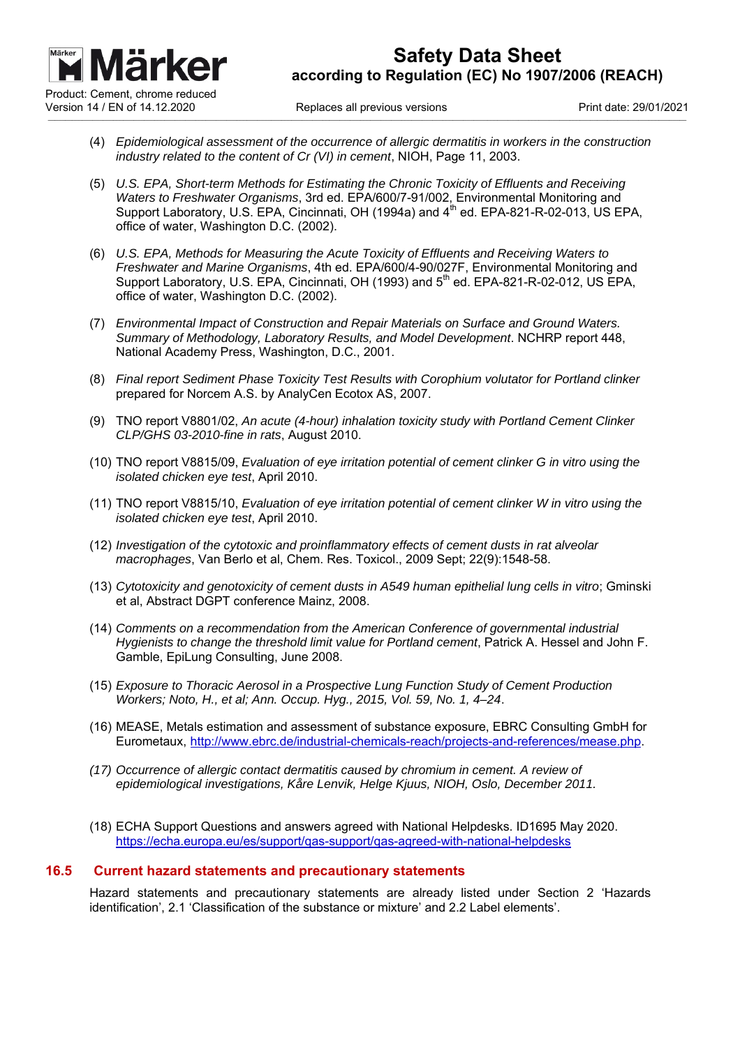

Version 14 / EN of 14.12.2020 Replaces all previous versions Theorem 29/01/2021

- (4) *Epidemiological assessment of the occurrence of allergic dermatitis in workers in the construction industry related to the content of Cr (VI) in cement*, NIOH, Page 11, 2003.
- (5) *U.S. EPA, Short-term Methods for Estimating the Chronic Toxicity of Effluents and Receiving Waters to Freshwater Organisms*, 3rd ed. EPA/600/7-91/002, Environmental Monitoring and Support Laboratory, U.S. EPA, Cincinnati, OH (1994a) and 4<sup>th</sup> ed. EPA-821-R-02-013, US EPA, office of water, Washington D.C. (2002).
- (6) *U.S. EPA, Methods for Measuring the Acute Toxicity of Effluents and Receiving Waters to Freshwater and Marine Organisms*, 4th ed. EPA/600/4-90/027F, Environmental Monitoring and Support Laboratory, U.S. EPA, Cincinnati, OH (1993) and 5<sup>th</sup> ed. EPA-821-R-02-012, US EPA, office of water, Washington D.C. (2002).
- (7) *Environmental Impact of Construction and Repair Materials on Surface and Ground Waters. Summary of Methodology, Laboratory Results, and Model Development*. NCHRP report 448, National Academy Press, Washington, D.C., 2001.
- (8) *Final report Sediment Phase Toxicity Test Results with Corophium volutator for Portland clinker* prepared for Norcem A.S. by AnalyCen Ecotox AS, 2007.
- (9) TNO report V8801/02, *An acute (4-hour) inhalation toxicity study with Portland Cement Clinker CLP/GHS 03-2010-fine in rats*, August 2010.
- (10) TNO report V8815/09, *Evaluation of eye irritation potential of cement clinker G in vitro using the isolated chicken eye test*, April 2010.
- (11) TNO report V8815/10, *Evaluation of eye irritation potential of cement clinker W in vitro using the isolated chicken eye test*, April 2010.
- (12) *Investigation of the cytotoxic and proinflammatory effects of cement dusts in rat alveolar macrophages*, Van Berlo et al, Chem. Res. Toxicol., 2009 Sept; 22(9):1548-58.
- (13) *Cytotoxicity and genotoxicity of cement dusts in A549 human epithelial lung cells in vitro*; Gminski et al, Abstract DGPT conference Mainz, 2008.
- (14) *Comments on a recommendation from the American Conference of governmental industrial Hygienists to change the threshold limit value for Portland cement*, Patrick A. Hessel and John F. Gamble, EpiLung Consulting, June 2008.
- (15) *Exposure to Thoracic Aerosol in a Prospective Lung Function Study of Cement Production Workers; Noto, H., et al; Ann. Occup. Hyg., 2015, Vol. 59, No. 1, 4–24*.
- (16) MEASE, Metals estimation and assessment of substance exposure, EBRC Consulting GmbH for Eurometaux, http://www.ebrc.de/industrial-chemicals-reach/projects-and-references/mease.php.
- *(17) Occurrence of allergic contact dermatitis caused by chromium in cement. A review of epidemiological investigations, Kåre Lenvik, Helge Kjuus, NIOH, Oslo, December 2011.*
- (18) ECHA Support Questions and answers agreed with National Helpdesks. ID1695 May 2020. https://echa.europa.eu/es/support/qas-support/qas-agreed-with-national-helpdesks

## **16.5 Current hazard statements and precautionary statements**

Hazard statements and precautionary statements are already listed under Section 2 'Hazards identification', 2.1 'Classification of the substance or mixture' and 2.2 Label elements'.